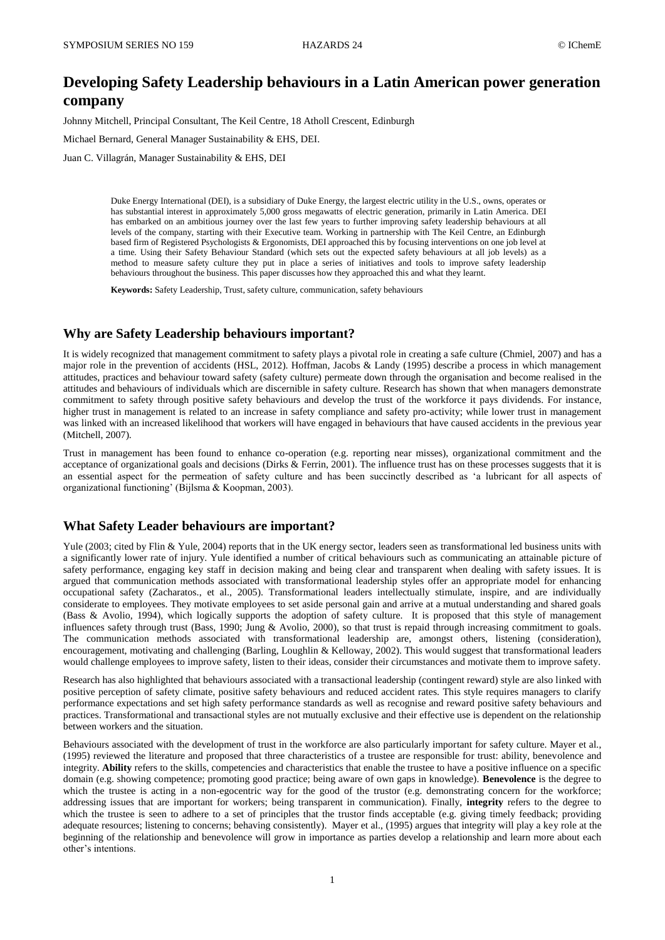# **Developing Safety Leadership behaviours in a Latin American power generation company**

Johnny Mitchell, Principal Consultant, The Keil Centre, 18 Atholl Crescent, Edinburgh

Michael Bernard, General Manager Sustainability & EHS, DEI.

Juan C. Villagrán, Manager Sustainability & EHS, DEI

Duke Energy International (DEI), is a subsidiary of Duke Energy, the largest electric utility in the U.S., owns, operates or has substantial interest in approximately 5,000 gross megawatts of electric generation, primarily in Latin America. DEI has embarked on an ambitious journey over the last few years to further improving safety leadership behaviours at all levels of the company, starting with their Executive team. Working in partnership with The Keil Centre, an Edinburgh based firm of Registered Psychologists & Ergonomists, DEI approached this by focusing interventions on one job level at a time. Using their Safety Behaviour Standard (which sets out the expected safety behaviours at all job levels) as a method to measure safety culture they put in place a series of initiatives and tools to improve safety leadership behaviours throughout the business. This paper discusses how they approached this and what they learnt.

**Keywords:** Safety Leadership, Trust, safety culture, communication, safety behaviours

### **Why are Safety Leadership behaviours important?**

It is widely recognized that management commitment to safety plays a pivotal role in creating a safe culture (Chmiel, 2007) and has a major role in the prevention of accidents (HSL, 2012). Hoffman, Jacobs & Landy (1995) describe a process in which management attitudes, practices and behaviour toward safety (safety culture) permeate down through the organisation and become realised in the attitudes and behaviours of individuals which are discernible in safety culture. Research has shown that when managers demonstrate commitment to safety through positive safety behaviours and develop the trust of the workforce it pays dividends. For instance, higher trust in management is related to an increase in safety compliance and safety pro-activity; while lower trust in management was linked with an increased likelihood that workers will have engaged in behaviours that have caused accidents in the previous year (Mitchell, 2007).

Trust in management has been found to enhance co-operation (e.g. reporting near misses), organizational commitment and the acceptance of organizational goals and decisions (Dirks & Ferrin, 2001). The influence trust has on these processes suggests that it is an essential aspect for the permeation of safety culture and has been succinctly described as 'a lubricant for all aspects of organizational functioning' (Bijlsma & Koopman, 2003).

#### **What Safety Leader behaviours are important?**

Yule (2003; cited by Flin & Yule, 2004) reports that in the UK energy sector, leaders seen as transformational led business units with a significantly lower rate of injury. Yule identified a number of critical behaviours such as communicating an attainable picture of safety performance, engaging key staff in decision making and being clear and transparent when dealing with safety issues. It is argued that communication methods associated with transformational leadership styles offer an appropriate model for enhancing occupational safety (Zacharatos., et al., 2005). Transformational leaders intellectually stimulate, inspire, and are individually considerate to employees. They motivate employees to set aside personal gain and arrive at a mutual understanding and shared goals (Bass & Avolio, 1994), which logically supports the adoption of safety culture. It is proposed that this style of management influences safety through trust (Bass, 1990; Jung & Avolio, 2000), so that trust is repaid through increasing commitment to goals. The communication methods associated with transformational leadership are, amongst others, listening (consideration), encouragement, motivating and challenging (Barling, Loughlin & Kelloway, 2002). This would suggest that transformational leaders would challenge employees to improve safety, listen to their ideas, consider their circumstances and motivate them to improve safety.

Research has also highlighted that behaviours associated with a transactional leadership (contingent reward) style are also linked with positive perception of safety climate, positive safety behaviours and reduced accident rates. This style requires managers to clarify performance expectations and set high safety performance standards as well as recognise and reward positive safety behaviours and practices. Transformational and transactional styles are not mutually exclusive and their effective use is dependent on the relationship between workers and the situation.

Behaviours associated with the development of trust in the workforce are also particularly important for safety culture. Mayer et al., (1995) reviewed the literature and proposed that three characteristics of a trustee are responsible for trust: ability, benevolence and integrity. **Ability** refers to the skills, competencies and characteristics that enable the trustee to have a positive influence on a specific domain (e.g. showing competence; promoting good practice; being aware of own gaps in knowledge). **Benevolence** is the degree to which the trustee is acting in a non-egocentric way for the good of the trustor (e.g. demonstrating concern for the workforce; addressing issues that are important for workers; being transparent in communication). Finally, **integrity** refers to the degree to which the trustee is seen to adhere to a set of principles that the trustor finds acceptable (e.g. giving timely feedback; providing adequate resources; listening to concerns; behaving consistently). Mayer et al., (1995) argues that integrity will play a key role at the beginning of the relationship and benevolence will grow in importance as parties develop a relationship and learn more about each other's intentions.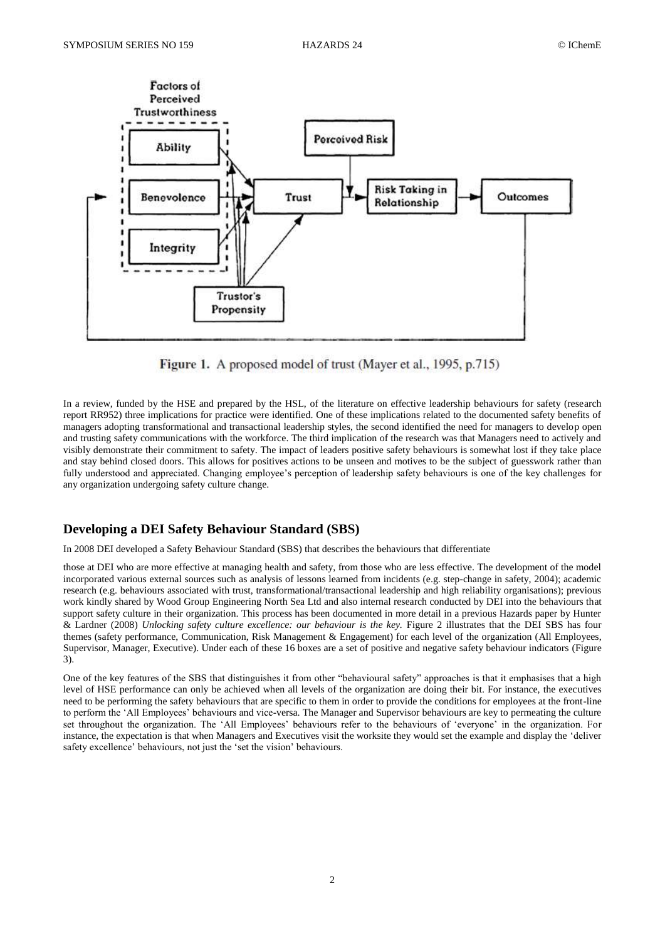

Figure 1. A proposed model of trust (Mayer et al., 1995, p.715)

In a review, funded by the HSE and prepared by the HSL, of the literature on effective leadership behaviours for safety (research report RR952) three implications for practice were identified. One of these implications related to the documented safety benefits of managers adopting transformational and transactional leadership styles, the second identified the need for managers to develop open and trusting safety communications with the workforce. The third implication of the research was that Managers need to actively and visibly demonstrate their commitment to safety. The impact of leaders positive safety behaviours is somewhat lost if they take place and stay behind closed doors. This allows for positives actions to be unseen and motives to be the subject of guesswork rather than fully understood and appreciated. Changing employee's perception of leadership safety behaviours is one of the key challenges for any organization undergoing safety culture change.

## **Developing a DEI Safety Behaviour Standard (SBS)**

In 2008 DEI developed a Safety Behaviour Standard (SBS) that describes the behaviours that differentiate

those at DEI who are more effective at managing health and safety, from those who are less effective. The development of the model incorporated various external sources such as analysis of lessons learned from incidents (e.g. step-change in safety, 2004); academic research (e.g. behaviours associated with trust, transformational/transactional leadership and high reliability organisations); previous work kindly shared by Wood Group Engineering North Sea Ltd and also internal research conducted by DEI into the behaviours that support safety culture in their organization. This process has been documented in more detail in a previous Hazards paper by Hunter & Lardner (2008) *Unlocking safety culture excellence: our behaviour is the key.* Figure 2 illustrates that the DEI SBS has four themes (safety performance, Communication, Risk Management & Engagement) for each level of the organization (All Employees, Supervisor, Manager, Executive). Under each of these 16 boxes are a set of positive and negative safety behaviour indicators (Figure 3).

One of the key features of the SBS that distinguishes it from other "behavioural safety" approaches is that it emphasises that a high level of HSE performance can only be achieved when all levels of the organization are doing their bit. For instance, the executives need to be performing the safety behaviours that are specific to them in order to provide the conditions for employees at the front-line to perform the 'All Employees' behaviours and vice-versa. The Manager and Supervisor behaviours are key to permeating the culture set throughout the organization. The 'All Employees' behaviours refer to the behaviours of 'everyone' in the organization. For instance, the expectation is that when Managers and Executives visit the worksite they would set the example and display the 'deliver safety excellence' behaviours, not just the 'set the vision' behaviours.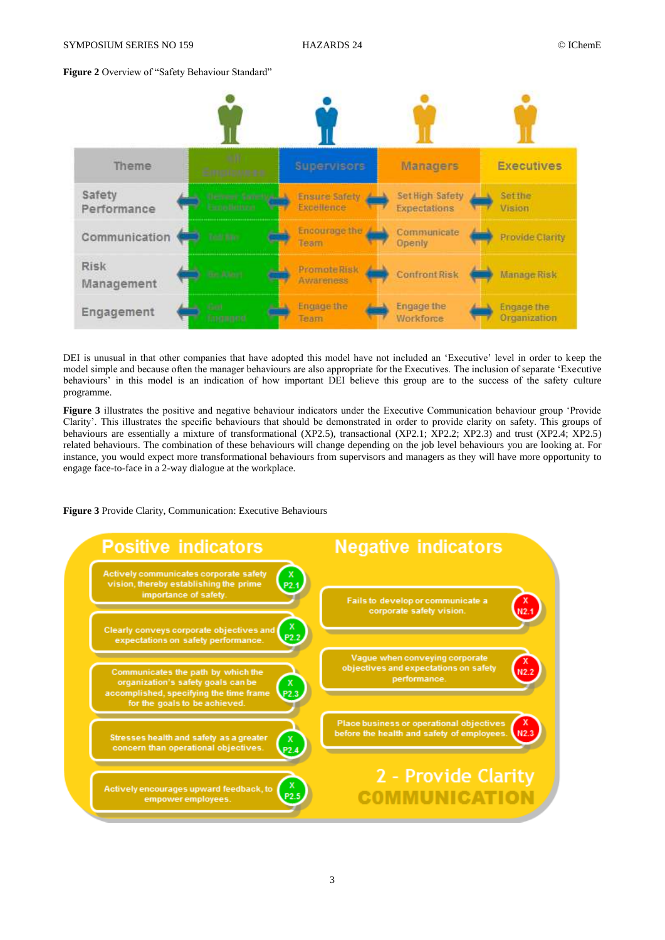## **Figure 2** Overview of "Safety Behaviour Standard"



DEI is unusual in that other companies that have adopted this model have not included an 'Executive' level in order to keep the model simple and because often the manager behaviours are also appropriate for the Executives. The inclusion of separate 'Executive behaviours' in this model is an indication of how important DEI believe this group are to the success of the safety culture programme.

**Figure 3** illustrates the positive and negative behaviour indicators under the Executive Communication behaviour group 'Provide Clarity'. This illustrates the specific behaviours that should be demonstrated in order to provide clarity on safety. This groups of behaviours are essentially a mixture of transformational (XP2.5), transactional (XP2.1; XP2.2; XP2.3) and trust (XP2.4; XP2.5) related behaviours. The combination of these behaviours will change depending on the job level behaviours you are looking at. For instance, you would expect more transformational behaviours from supervisors and managers as they will have more opportunity to engage face-to-face in a 2-way dialogue at the workplace.

**Figure 3** Provide Clarity, Communication: Executive Behaviours

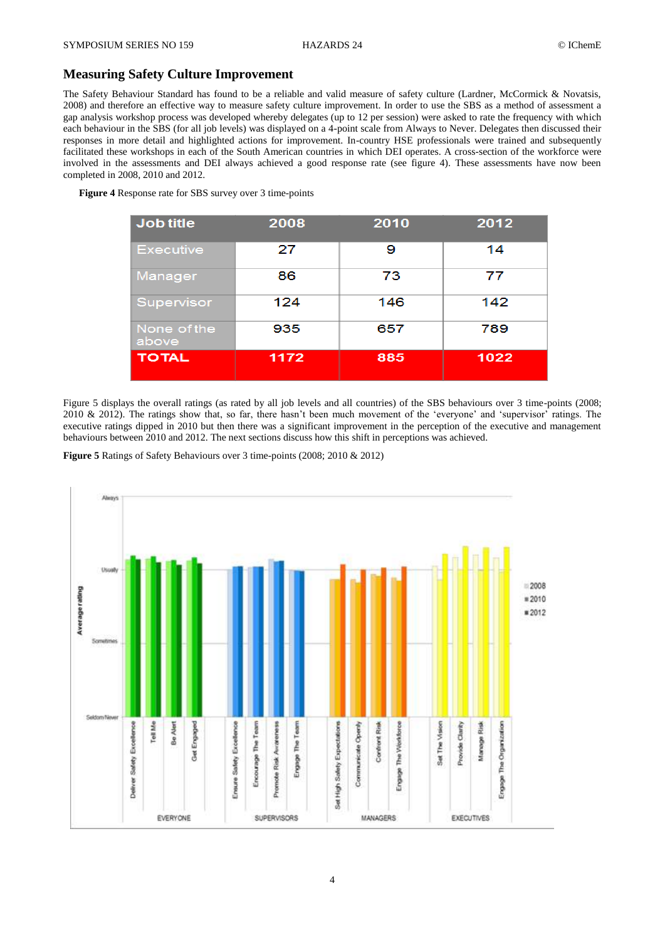## **Measuring Safety Culture Improvement**

The Safety Behaviour Standard has found to be a reliable and valid measure of safety culture (Lardner, McCormick & Novatsis, 2008) and therefore an effective way to measure safety culture improvement. In order to use the SBS as a method of assessment a gap analysis workshop process was developed whereby delegates (up to 12 per session) were asked to rate the frequency with which each behaviour in the SBS (for all job levels) was displayed on a 4-point scale from Always to Never. Delegates then discussed their responses in more detail and highlighted actions for improvement. In-country HSE professionals were trained and subsequently facilitated these workshops in each of the South American countries in which DEI operates. A cross-section of the workforce were involved in the assessments and DEI always achieved a good response rate (see figure 4). These assessments have now been completed in 2008, 2010 and 2012.

**Figure 4** Response rate for SBS survey over 3 time-points

| Job title            | 2008 | 2010 | 2012 |
|----------------------|------|------|------|
| <b>Executive</b>     | 27   | 9    | 14   |
| Manager              | 86   | 73   | 77   |
| Supervisor           | 124  | 146  | 142  |
| None of the<br>above | 935  | 657  | 789  |
| <b>TOTAL</b>         | 1172 | 885  | 1022 |

Figure 5 displays the overall ratings (as rated by all job levels and all countries) of the SBS behaviours over 3 time-points (2008; 2010 & 2012). The ratings show that, so far, there hasn't been much movement of the 'everyone' and 'supervisor' ratings. The executive ratings dipped in 2010 but then there was a significant improvement in the perception of the executive and management behaviours between 2010 and 2012. The next sections discuss how this shift in perceptions was achieved.

**Figure 5** Ratings of Safety Behaviours over 3 time-points (2008; 2010 & 2012)

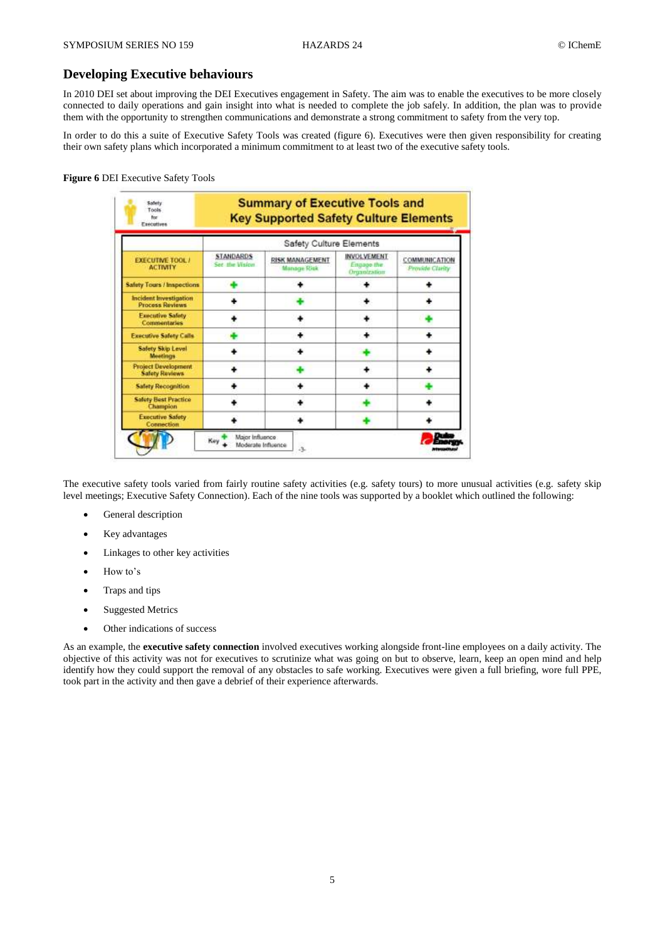## **Developing Executive behaviours**

In 2010 DEI set about improving the DEI Executives engagement in Safety. The aim was to enable the executives to be more closely connected to daily operations and gain insight into what is needed to complete the job safely. In addition, the plan was to provide them with the opportunity to strengthen communications and demonstrate a strong commitment to safety from the very top.

In order to do this a suite of Executive Safety Tools was created (figure 6). Executives were then given responsibility for creating their own safety plans which incorporated a minimum commitment to at least two of the executive safety tools.

#### **Figure 6** DEI Executive Safety Tools

| <b>EXECUTIVE TOOL /</b><br><b>ACTIVITY</b>              | Safety Culture Elements                          |                                              |                                                  |                                  |  |
|---------------------------------------------------------|--------------------------------------------------|----------------------------------------------|--------------------------------------------------|----------------------------------|--|
|                                                         | <b>STANDARDS</b><br><b><i>Car the Vision</i></b> | <b>RISK MANAGEMENT</b><br><b>Manage Risk</b> | <b>INVOLVEMENT</b><br>Engage the<br>Organization | COMMUNICATION<br>Provide Clarity |  |
| <b>Safety Tours / Inspections</b>                       |                                                  |                                              |                                                  |                                  |  |
| <b>Incident Investigation</b><br><b>Process Reviews</b> |                                                  |                                              |                                                  |                                  |  |
| <b>Executive Safety</b><br><b>Commentaries</b>          |                                                  |                                              |                                                  |                                  |  |
| <b>Executive Safety Calls</b>                           |                                                  |                                              |                                                  |                                  |  |
| Safety Skip Level<br><b>Meetings</b>                    |                                                  |                                              |                                                  |                                  |  |
| <b>Project Development</b><br><b>Safety Reviews</b>     |                                                  |                                              |                                                  |                                  |  |
| <b>Safety Recognition</b>                               |                                                  |                                              |                                                  |                                  |  |
| <b>Safety Best Practice</b><br>Champion                 |                                                  |                                              |                                                  |                                  |  |
| <b>Executive Safety</b><br><b>Connection</b>            |                                                  |                                              |                                                  |                                  |  |

The executive safety tools varied from fairly routine safety activities (e.g. safety tours) to more unusual activities (e.g. safety skip level meetings; Executive Safety Connection). Each of the nine tools was supported by a booklet which outlined the following:

- General description
- Key advantages
- Linkages to other key activities
- How to's
- Traps and tips
- Suggested Metrics
- Other indications of success

As an example, the **executive safety connection** involved executives working alongside front-line employees on a daily activity. The objective of this activity was not for executives to scrutinize what was going on but to observe, learn, keep an open mind and help identify how they could support the removal of any obstacles to safe working. Executives were given a full briefing, wore full PPE, took part in the activity and then gave a debrief of their experience afterwards.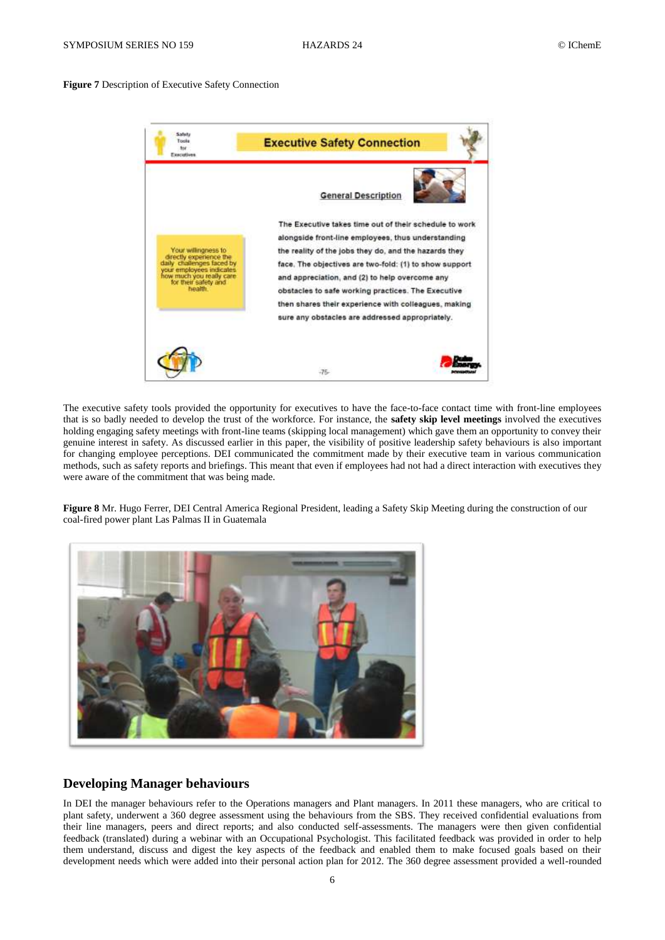#### **Figure 7** Description of Executive Safety Connection



The executive safety tools provided the opportunity for executives to have the face-to-face contact time with front-line employees that is so badly needed to develop the trust of the workforce. For instance, the **safety skip level meetings** involved the executives holding engaging safety meetings with front-line teams (skipping local management) which gave them an opportunity to convey their genuine interest in safety. As discussed earlier in this paper, the visibility of positive leadership safety behaviours is also important for changing employee perceptions. DEI communicated the commitment made by their executive team in various communication methods, such as safety reports and briefings. This meant that even if employees had not had a direct interaction with executives they were aware of the commitment that was being made.

**Figure 8** Mr. Hugo Ferrer, DEI Central America Regional President, leading a Safety Skip Meeting during the construction of our coal-fired power plant Las Palmas II in Guatemala



## **Developing Manager behaviours**

In DEI the manager behaviours refer to the Operations managers and Plant managers. In 2011 these managers, who are critical to plant safety, underwent a 360 degree assessment using the behaviours from the SBS. They received confidential evaluations from their line managers, peers and direct reports; and also conducted self-assessments. The managers were then given confidential feedback (translated) during a webinar with an Occupational Psychologist. This facilitated feedback was provided in order to help them understand, discuss and digest the key aspects of the feedback and enabled them to make focused goals based on their development needs which were added into their personal action plan for 2012. The 360 degree assessment provided a well-rounded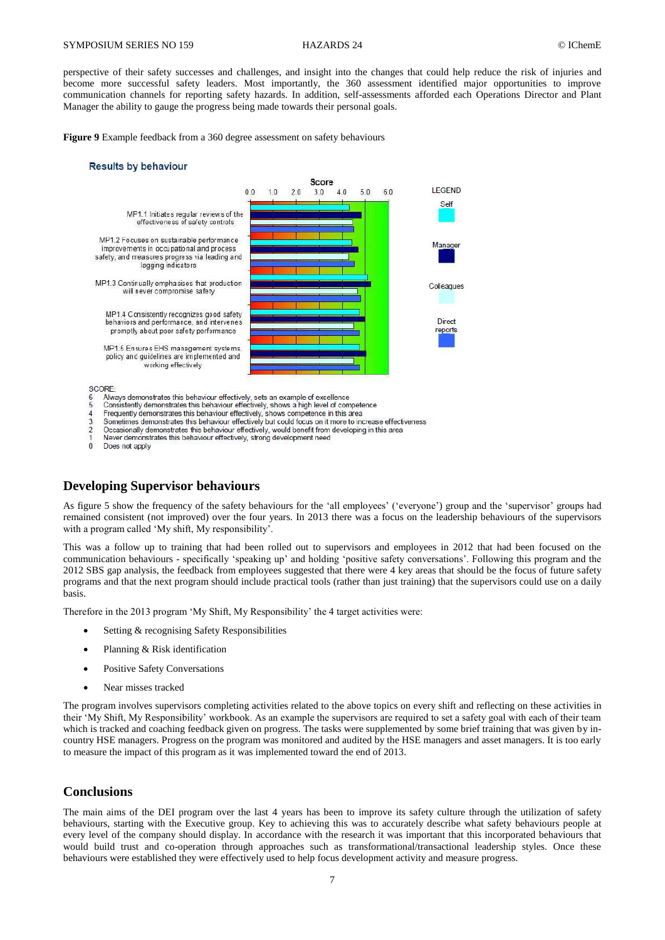perspective of their safety successes and challenges, and insight into the changes that could help reduce the risk of injuries and become more successful safety leaders. Most importantly, the 360 assessment identified major opportunities to improve communication channels for reporting safety hazards. In addition, self-assessments afforded each Operations Director and Plant Manager the ability to gauge the progress being made towards their personal goals.

**Figure 9** Example feedback from a 360 degree assessment on safety behaviours

#### **Results by behaviour**



 $\overline{4}$ Frequently demonstrates this behaviour effectively, shows competence in this area

- 3
- Sometimes demonstrates this behaviour effectively but could focus on it more to increase effectiveness<br>Occasionally demonstrates this behaviour effectively but could focus on it more to increase effectiveness  $\overline{\mathbf{c}}$
- Never demonstrates this behaviour effectively, strong development need
- $\overline{0}$ Does not apply

## **Developing Supervisor behaviours**

As figure 5 show the frequency of the safety behaviours for the 'all employees' ('everyone') group and the 'supervisor' groups had remained consistent (not improved) over the four years. In 2013 there was a focus on the leadership behaviours of the supervisors with a program called 'My shift, My responsibility'.

This was a follow up to training that had been rolled out to supervisors and employees in 2012 that had been focused on the communication behaviours - specifically 'speaking up' and holding 'positive safety conversations'. Following this program and the 2012 SBS gap analysis, the feedback from employees suggested that there were 4 key areas that should be the focus of future safety programs and that the next program should include practical tools (rather than just training) that the supervisors could use on a daily basis.

Therefore in the 2013 program 'My Shift, My Responsibility' the 4 target activities were:

- Setting & recognising Safety Responsibilities
- Planning & Risk identification
- Positive Safety Conversations
- Near misses tracked

The program involves supervisors completing activities related to the above topics on every shift and reflecting on these activities in their 'My Shift, My Responsibility' workbook. As an example the supervisors are required to set a safety goal with each of their team which is tracked and coaching feedback given on progress. The tasks were supplemented by some brief training that was given by incountry HSE managers. Progress on the program was monitored and audited by the HSE managers and asset managers. It is too early to measure the impact of this program as it was implemented toward the end of 2013.

## **Conclusions**

The main aims of the DEI program over the last 4 years has been to improve its safety culture through the utilization of safety behaviours, starting with the Executive group. Key to achieving this was to accurately describe what safety behaviours people at every level of the company should display. In accordance with the research it was important that this incorporated behaviours that would build trust and co-operation through approaches such as transformational/transactional leadership styles. Once these behaviours were established they were effectively used to help focus development activity and measure progress.